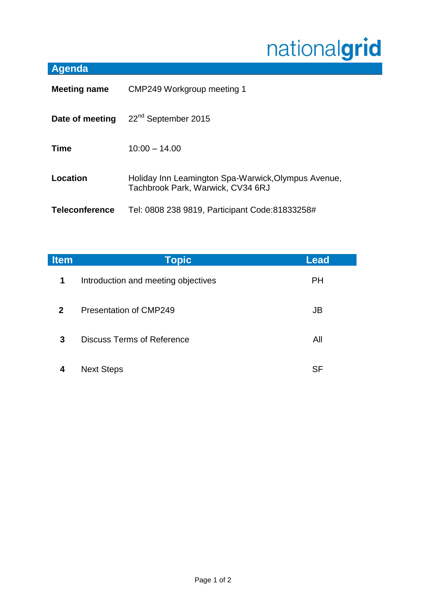## nationalgrid

## **Agenda**

| <b>Meeting name</b>   | CMP249 Workgroup meeting 1                                                               |  |
|-----------------------|------------------------------------------------------------------------------------------|--|
| Date of meeting       | 22 <sup>nd</sup> September 2015                                                          |  |
| <b>Time</b>           | $10:00 - 14.00$                                                                          |  |
| Location              | Holiday Inn Leamington Spa-Warwick, Olympus Avenue,<br>Tachbrook Park, Warwick, CV34 6RJ |  |
| <b>Teleconference</b> | Tel: 0808 238 9819, Participant Code: 81833258#                                          |  |

| <b>Item</b>  | <b>Topic</b>                        | <b>Lead</b> |
|--------------|-------------------------------------|-------------|
| $\mathbf 1$  | Introduction and meeting objectives | <b>PH</b>   |
| $\mathbf{2}$ | <b>Presentation of CMP249</b>       | JB          |
| 3            | <b>Discuss Terms of Reference</b>   | All         |
| 4            | <b>Next Steps</b>                   | SF          |